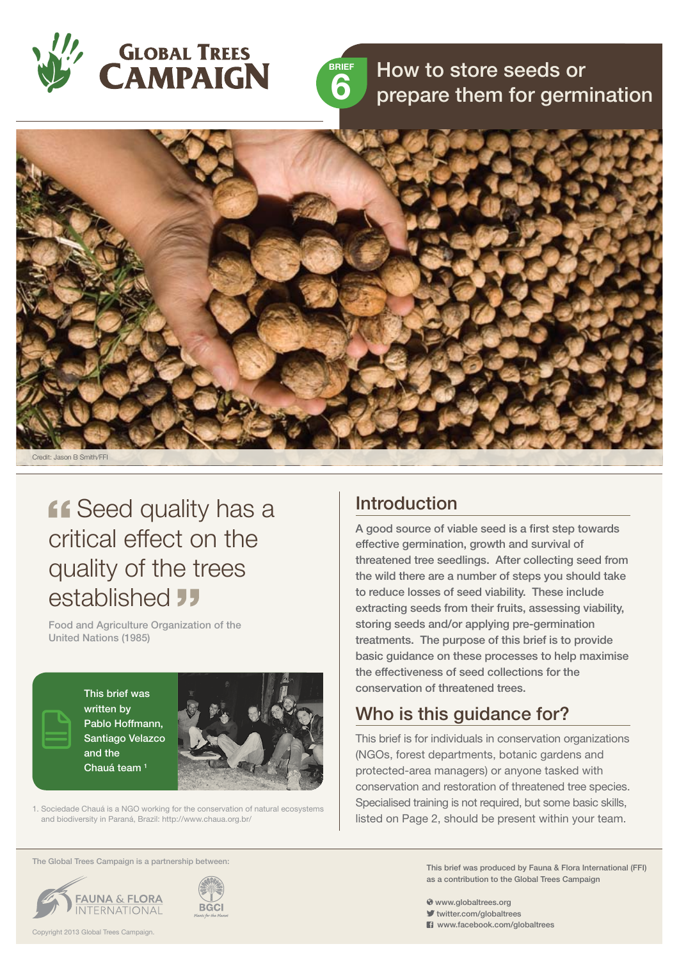



# RIGHT How to store seeds or<br>**6** prepare them for germination



### **ff** Seed quality has a critical effect on the quality of the trees established **JJ**

Food and Agriculture Organization of the United Nations (1985)

> This brief was written by Pablo Hoffmann, Santiago Velazco and the Chauá team<sup>1</sup>



1. Sociedade Chauá is a NGO working for the conservation of natural ecosystems and biodiversity in Paraná, Brazil: http://www.chaua.org.br/

#### The Global Trees Campaign is a partnership between:





#### **Introduction**

A good source of viable seed is a first step towards effective germination, growth and survival of threatened tree seedlings. After collecting seed from the wild there are a number of steps you should take to reduce losses of seed viability. These include extracting seeds from their fruits, assessing viability, storing seeds and/or applying pre-germination treatments. The purpose of this brief is to provide basic guidance on these processes to help maximise the effectiveness of seed collections for the conservation of threatened trees.

#### Who is this guidance for?

This brief is for individuals in conservation organizations (NGOs, forest departments, botanic gardens and protected-area managers) or anyone tasked with conservation and restoration of threatened tree species. Specialised training is not required, but some basic skills, listed on Page 2, should be present within your team.

> This brief was produced by Fauna & Flora International (FFI) as a contribution to the Global Trees Campaign

- www.globaltrees.org
- twitter.com/globaltrees
- **El** www.facebook.com/globaltrees

Copyright 2013 Global Trees Campaign.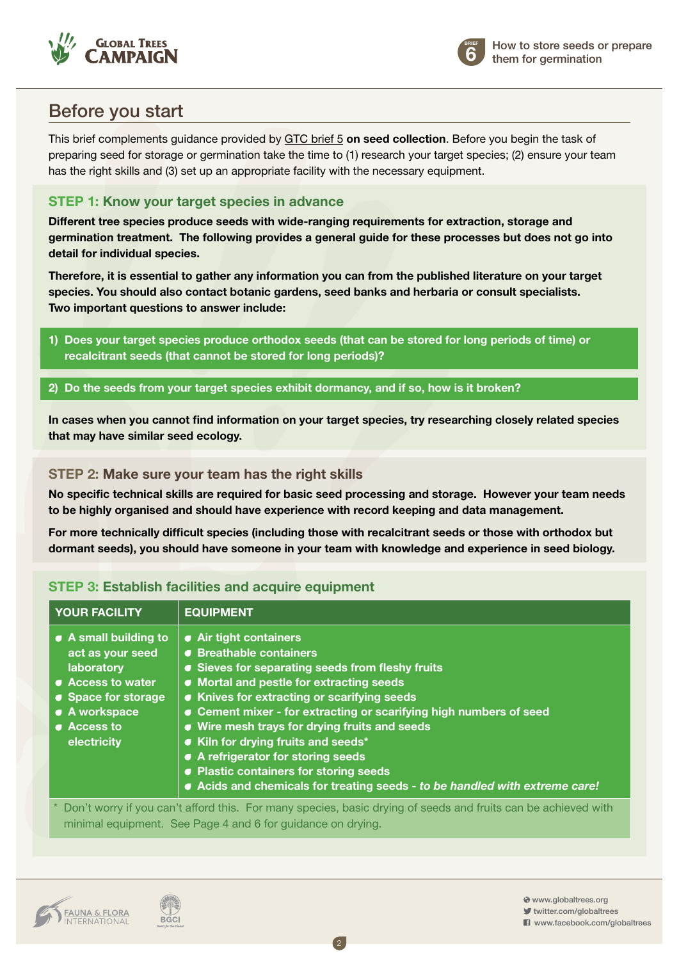



#### Before you start

This brief complements guidance provided by GTC brief 5 **[on seed collection](http://globaltrees.org/resources/seed-collection-threatened-trees)**. Before you begin the task of preparing seed for storage or germination take the time to (1) research your target species; (2) ensure your team has the right skills and (3) set up an appropriate facility with the necessary equipment.

#### **Step 1: Know your target species in advance**

**Different tree species produce seeds with wide-ranging requirements for extraction, storage and germination treatment. The following provides a general guide for these processes but does not go into detail for individual species.** 

**Therefore, it is essential to gather any information you can from the published literature on your target species. You should also contact botanic gardens, seed banks and herbaria or consult specialists. Two important questions to answer include:**

- **1) Does your target species produce orthodox seeds (that can be stored for long periods of time) or recalcitrant seeds (that cannot be stored for long periods)?**
- **2) Do the seeds from your target species exhibit dormancy, and if so, how is it broken?**

**In cases when you cannot find information on your target species, try researching closely related species that may have similar seed ecology.**

#### **Step 2: Make sure your team has the right skills**

**No specific technical skills are required for basic seed processing and storage. However your team needs to be highly organised and should have experience with record keeping and data management.**

**For more technically difficult species (including those with recalcitrant seeds or those with orthodox but dormant seeds), you should have someone in your team with knowledge and experience in seed biology.** 

| <b>YOUR FACILITY</b>                                                                                                                                                           | <b>EQUIPMENT</b>                                                                                                                                                                                                                                                                                                                                                                                                                                                                                                            |
|--------------------------------------------------------------------------------------------------------------------------------------------------------------------------------|-----------------------------------------------------------------------------------------------------------------------------------------------------------------------------------------------------------------------------------------------------------------------------------------------------------------------------------------------------------------------------------------------------------------------------------------------------------------------------------------------------------------------------|
| $\bullet$ A small building to<br>act as your seed<br>laboratory<br>• Access to water<br>• Space for storage<br>• A workspace<br>• Access to<br>electricity                     | • Air tight containers<br>● Breathable containers<br>• Sieves for separating seeds from fleshy fruits<br>• Mortal and pestle for extracting seeds<br>• Knives for extracting or scarifying seeds<br>• Cement mixer - for extracting or scarifying high numbers of seed<br>• Wire mesh trays for drying fruits and seeds<br>Kiln for drying fruits and seeds*<br>• A refrigerator for storing seeds<br>• Plastic containers for storing seeds<br>• Acids and chemicals for treating seeds - to be handled with extreme care! |
| * Don't worry if you can't afford this. For many species, basic drying of seeds and fruits can be achieved with<br>minimal equipment. See Page 4 and 6 for guidance on drying. |                                                                                                                                                                                                                                                                                                                                                                                                                                                                                                                             |

2

#### **STEP 3: Establish facilities and acquire equipment**



**BGCI** 

 www.globaltrees.org twitter.com/globaltrees

**El** www.facebook.com/globaltrees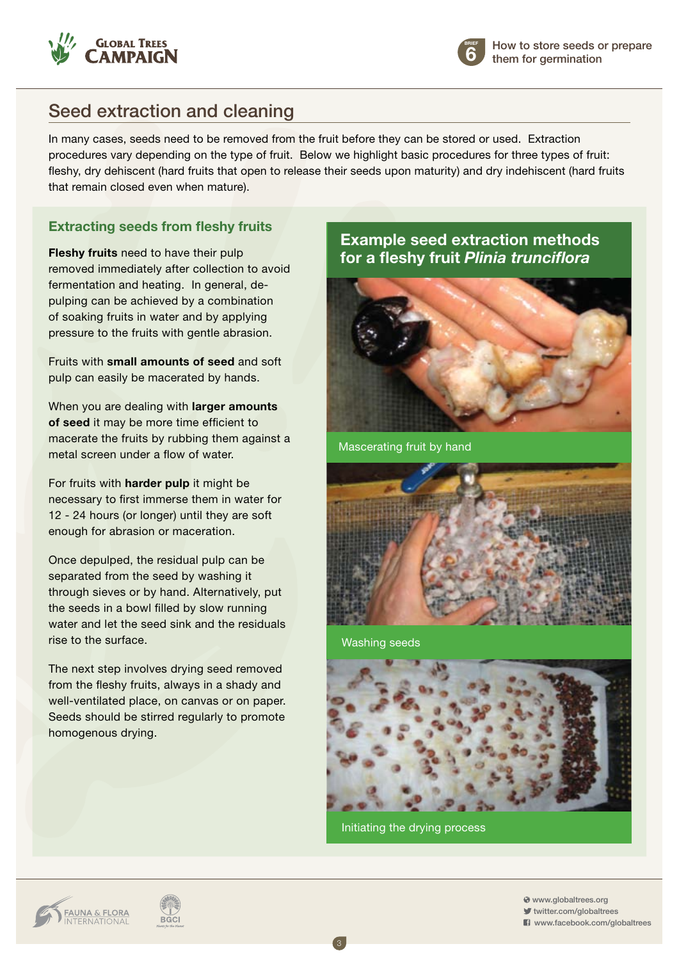



### Seed extraction and cleaning

In many cases, seeds need to be removed from the fruit before they can be stored or used. Extraction procedures vary depending on the type of fruit. Below we highlight basic procedures for three types of fruit: fleshy, dry dehiscent (hard fruits that open to release their seeds upon maturity) and dry indehiscent (hard fruits that remain closed even when mature).

#### **Extracting seeds from fleshy fruits**

**Fleshy fruits** need to have their pulp removed immediately after collection to avoid fermentation and heating. In general, depulping can be achieved by a combination of soaking fruits in water and by applying pressure to the fruits with gentle abrasion.

Fruits with **small amounts of seed** and soft pulp can easily be macerated by hands.

When you are dealing with **larger amounts of seed** it may be more time efficient to macerate the fruits by rubbing them against a metal screen under a flow of water.

For fruits with **harder pulp** it might be necessary to first immerse them in water for 12 - 24 hours (or longer) until they are soft enough for abrasion or maceration.

Once depulped, the residual pulp can be separated from the seed by washing it through sieves or by hand. Alternatively, put the seeds in a bowl filled by slow running water and let the seed sink and the residuals rise to the surface.

The next step involves drying seed removed from the fleshy fruits, always in a shady and well-ventilated place, on canvas or on paper. Seeds should be stirred regularly to promote homogenous drying.

#### **Example seed extraction methods for a fleshy fruit** *Plinia trunciflora*



Mascerating fruit by hand



Washing seeds



Initiating the drying process

3

**FAUNA & FLORA**<br>INTERNATIONAL



 www.globaltrees.org twitter.com/globaltrees

 $\blacksquare$  www.facebook.com/globaltrees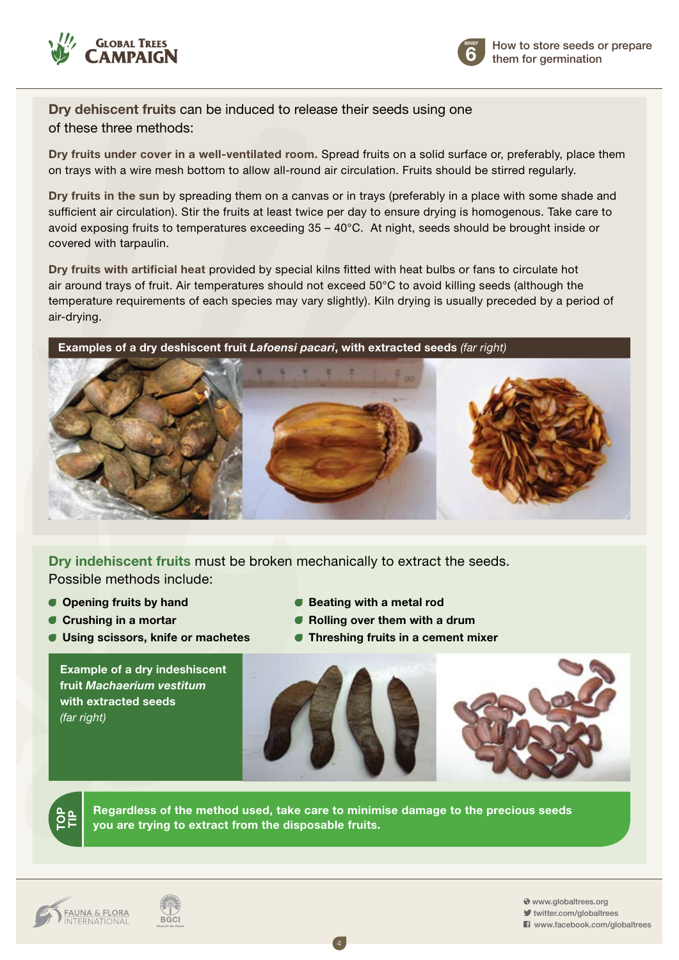



**Dry dehiscent fruits** can be induced to release their seeds using one of these three methods:

**Dry fruits under cover in a well-ventilated room.** Spread fruits on a solid surface or, preferably, place them on trays with a wire mesh bottom to allow all-round air circulation. Fruits should be stirred regularly.

**Dry fruits in the sun** by spreading them on a canvas or in trays (preferably in a place with some shade and sufficient air circulation). Stir the fruits at least twice per day to ensure drying is homogenous. Take care to avoid exposing fruits to temperatures exceeding 35 – 40°C. At night, seeds should be brought inside or covered with tarpaulin.

**Dry fruits with artificial heat** provided by special kilns fitted with heat bulbs or fans to circulate hot air around trays of fruit. Air temperatures should not exceed 50°C to avoid killing seeds (although the temperature requirements of each species may vary slightly). Kiln drying is usually preceded by a period of air-drying.

**Examples of a dry deshiscent fruit** *Lafoensi pacari***, with extracted seeds** *(far right)*



**Dry indehiscent fruits** must be broken mechanically to extract the seeds. Possible methods include:

- 
- 
- **Using scissors, knife or machetes Threshing fruits in a cement mixer**

**Example of a dry indeshiscent fruit** *Machaerium vestitum* **with extracted seeds** *(far right)*

- **Opening fruits by hand Geating with a metal rod**
- **Crushing in a mortar CRUS Crushing in a mortar CRUS CRUS** 
	-



**Regardless of the method used, take care to minimise damage to the precious seeds you are trying to extract from the disposable fruits.**

4

**TOP**<u>。</u><br>三



 www.globaltrees.org twitter.com/globaltrees

**El** www.facebook.com/globaltrees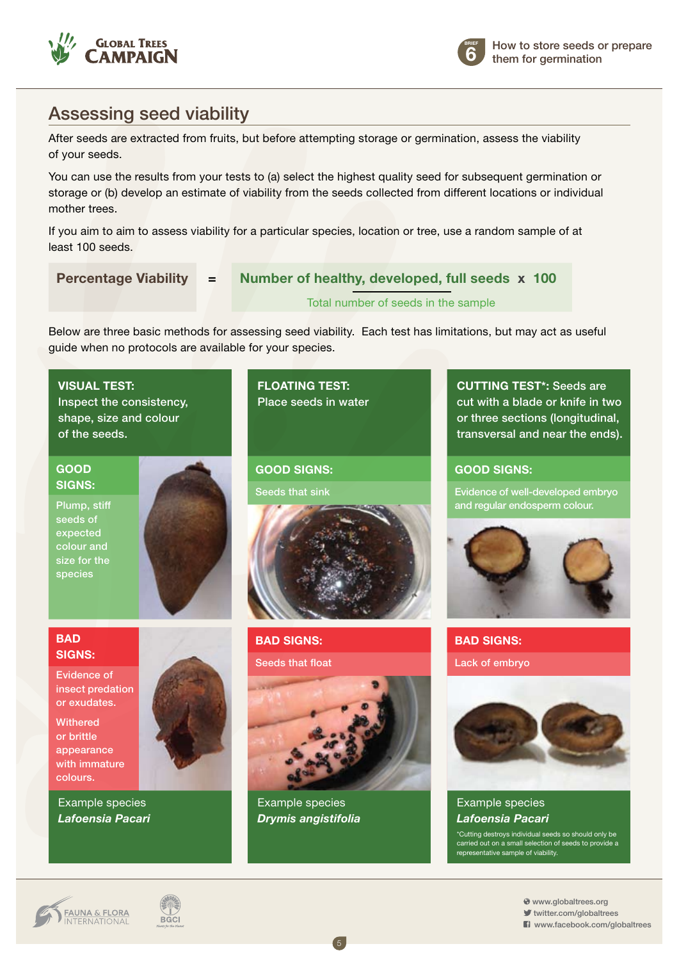



#### Assessing seed viability

After seeds are extracted from fruits, but before attempting storage or germination, assess the viability of your seeds.

You can use the results from your tests to (a) select the highest quality seed for subsequent germination or storage or (b) develop an estimate of viability from the seeds collected from different locations or individual mother trees.

If you aim to aim to assess viability for a particular species, location or tree, use a random sample of at least 100 seeds.

 **Percentage Viability = Number of healthy, developed, full seeds x 100**

Total number of seeds in the sample

Below are three basic methods for assessing seed viability. Each test has limitations, but may act as useful guide when no protocols are available for your species.

> **FLOATING TEST:** Place seeds in water

**Good signs:** Seeds that sink

**Visual test:** Inspect the consistency, shape, size and colour of the seeds.

**Good signs:**

Plump, stiff seeds of expected colour and size for the species



#### **BAD signs:**

Evidence of insect predation or exudates.

**Withered** or brittle appearance with immature colours.

Example species *Lafoensia Pacari*

## **BAD signs:** Seeds that float



Example species *Drymis angistifolia*

**CUTTING TEST\*: Seeds are** cut with a blade or knife in two or three sections (longitudinal, transversal and near the ends).

#### **Good signs:**

Evidence of well-developed embryo and regular endosperm colour.



#### **BAD signs:** Lack of embryo



#### Example species *Lafoensia Pacari*

\*Cutting destroys individual seeds so should only be carried out on a small selection of seeds to provide a representative sample of viability.

**FAUNA & FLORA**<br>INTERNATIONAL



 www.globaltrees.org twitter.com/globaltrees

**El** www.facebook.com/globaltrees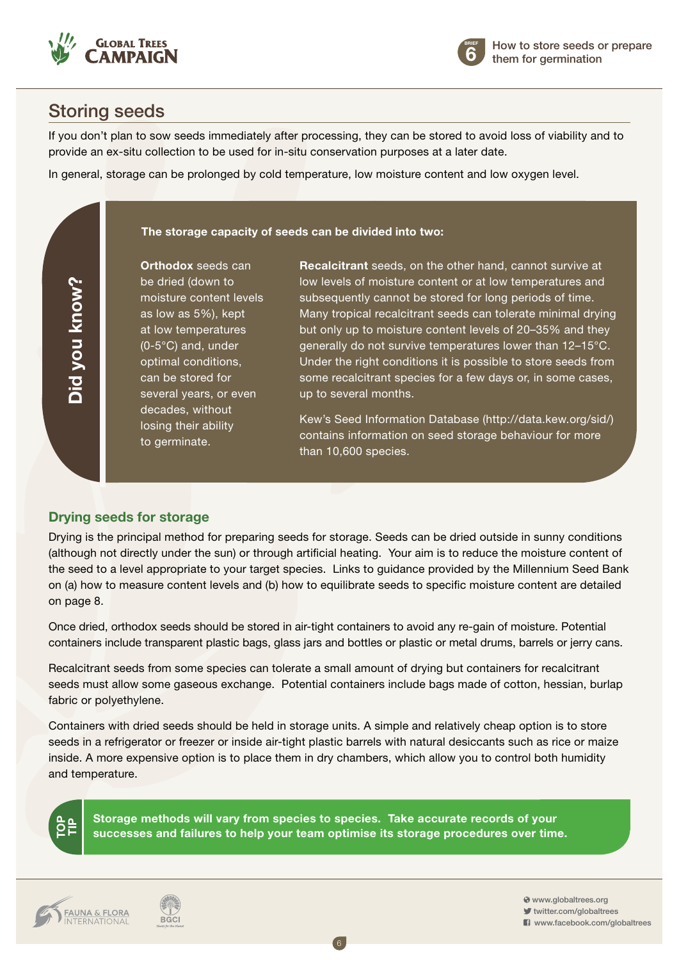



#### Storing seeds

**Did you know?**

Did you know?

If you don't plan to sow seeds immediately after processing, they can be stored to avoid loss of viability and to provide an ex-situ collection to be used for in-situ conservation purposes at a later date.

In general, storage can be prolonged by cold temperature, low moisture content and low oxygen level.

#### **The storage capacity of seeds can be divided into two:**

**Orthodox** seeds can be dried (down to moisture content levels as low as 5%), kept at low temperatures (0-5°C) and, under optimal conditions, can be stored for several years, or even decades, without losing their ability to germinate.

**Recalcitrant** seeds, on the other hand, cannot survive at low levels of moisture content or at low temperatures and subsequently cannot be stored for long periods of time. Many tropical recalcitrant seeds can tolerate minimal drying but only up to moisture content levels of 20–35% and they generally do not survive temperatures lower than 12–15°C. Under the right conditions it is possible to store seeds from some recalcitrant species for a few days or, in some cases, up to several months.

Kew's Seed Information Database (http://data.kew.org/sid/) contains information on seed storage behaviour for more than 10,600 species.

#### **Drying seeds for storage**

Drying is the principal method for preparing seeds for storage. Seeds can be dried outside in sunny conditions (although not directly under the sun) or through artificial heating. Your aim is to reduce the moisture content of the seed to a level appropriate to your target species. Links to guidance provided by the Millennium Seed Bank on (a) how to measure content levels and (b) how to equilibrate seeds to specific moisture content are detailed on page 8.

Once dried, orthodox seeds should be stored in air-tight containers to avoid any re-gain of moisture. Potential containers include transparent plastic bags, glass jars and bottles or plastic or metal drums, barrels or jerry cans.

Recalcitrant seeds from some species can tolerate a small amount of drying but containers for recalcitrant seeds must allow some gaseous exchange. Potential containers include bags made of cotton, hessian, burlap fabric or polyethylene.

Containers with dried seeds should be held in storage units. A simple and relatively cheap option is to store seeds in a refrigerator or freezer or inside air-tight plastic barrels with natural desiccants such as rice or maize inside. A more expensive option is to place them in dry chambers, which allow you to control both humidity and temperature.



**Storage methods will vary from species to species. Take accurate records of your successes and failures to help your team optimise its storage procedures over time.**

6

**FAUNA & FLORA**<br>INTERNATIONAL



 www.globaltrees.org twitter.com/globaltrees **El** www.facebook.com/globaltrees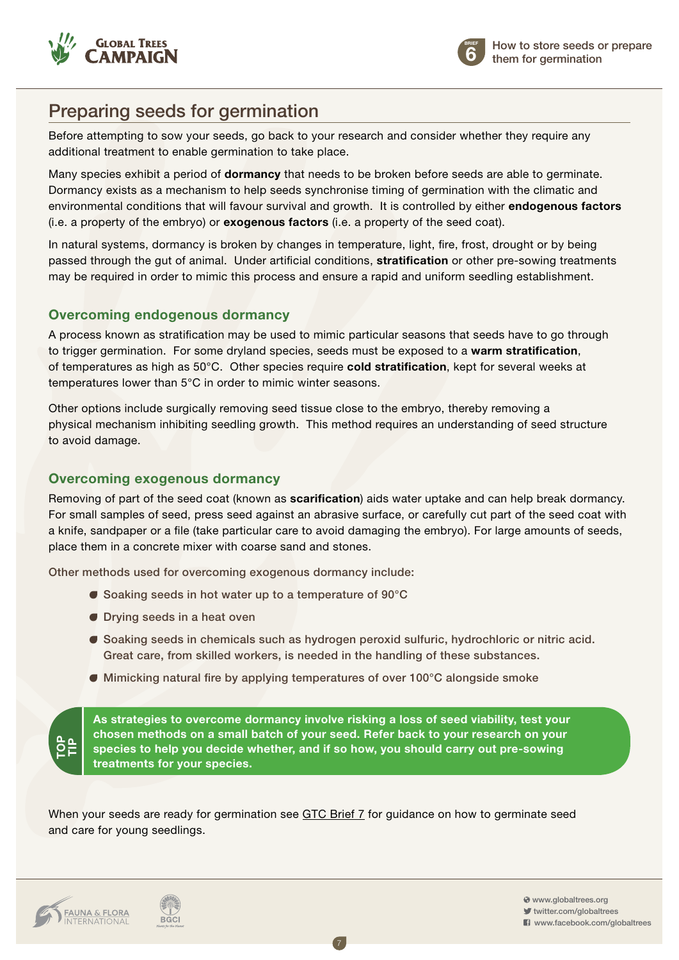



#### Preparing seeds for germination

Before attempting to sow your seeds, go back to your research and consider whether they require any additional treatment to enable germination to take place.

Many species exhibit a period of **dormancy** that needs to be broken before seeds are able to germinate. Dormancy exists as a mechanism to help seeds synchronise timing of germination with the climatic and environmental conditions that will favour survival and growth. It is controlled by either **endogenous factors**  (i.e. a property of the embryo) or **exogenous factors** (i.e. a property of the seed coat).

In natural systems, dormancy is broken by changes in temperature, light, fire, frost, drought or by being passed through the gut of animal. Under artificial conditions, **stratification** or other pre-sowing treatments may be required in order to mimic this process and ensure a rapid and uniform seedling establishment.

#### **Overcoming endogenous dormancy**

A process known as stratification may be used to mimic particular seasons that seeds have to go through to trigger germination. For some dryland species, seeds must be exposed to a **warm stratification**, of temperatures as high as 50°C. Other species require **cold stratification**, kept for several weeks at temperatures lower than 5°C in order to mimic winter seasons.

Other options include surgically removing seed tissue close to the embryo, thereby removing a physical mechanism inhibiting seedling growth. This method requires an understanding of seed structure to avoid damage.

#### **Overcoming exogenous dormancy**

Removing of part of the seed coat (known as **scarification**) aids water uptake and can help break dormancy. For small samples of seed, press seed against an abrasive surface, or carefully cut part of the seed coat with a knife, sandpaper or a file (take particular care to avoid damaging the embryo). For large amounts of seeds, place them in a concrete mixer with coarse sand and stones.

Other methods used for overcoming exogenous dormancy include:

- Soaking seeds in hot water up to a temperature of 90°C
- **O** Drying seeds in a heat oven
- Soaking seeds in chemicals such as hydrogen peroxid sulfuric, hydrochloric or nitric acid. Great care, from skilled workers, is needed in the handling of these substances.
- Mimicking natural fire by applying temperatures of over 100°C alongside smoke

**As strategies to overcome dormancy involve risking a loss of seed viability, test your chosen methods on a small batch of your seed. Refer back to your research on your species to help you decide whether, and if so how, you should carry out pre-sowing treatments for your species.**

7

When your seeds are ready for germination see GTC Brief 7 for guidance on how to germinate seed [and care for young seedlings.](http://globaltrees.org/resources/germination-seedling-care)



**TOP**<u>。</u><br>三

**BGCI** 

 www.globaltrees.org twitter.com/globaltrees **El** www.facebook.com/globaltrees